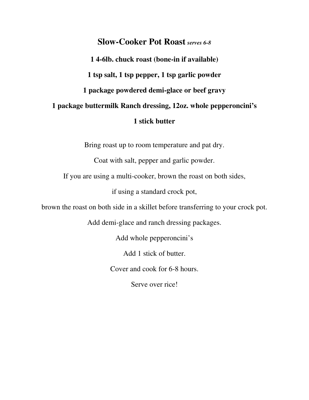## **Slow-Cooker Pot Roast** *serves 6-8*

**1 4-6lb. chuck roast (bone-in if available) 1 tsp salt, 1 tsp pepper, 1 tsp garlic powder 1 package powdered demi-glace or beef gravy 1 package buttermilk Ranch dressing, 12oz. whole pepperoncini's 1 stick butter**

Bring roast up to room temperature and pat dry.

Coat with salt, pepper and garlic powder.

If you are using a multi-cooker, brown the roast on both sides,

if using a standard crock pot,

brown the roast on both side in a skillet before transferring to your crock pot.

Add demi-glace and ranch dressing packages.

Add whole pepperoncini's

Add 1 stick of butter.

Cover and cook for 6-8 hours.

Serve over rice!